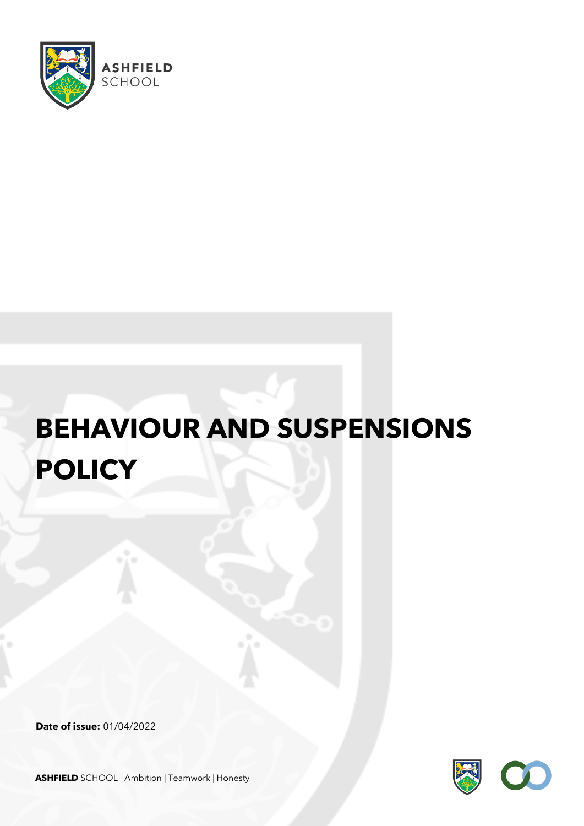

# **BEHAVIOUR AND SUSPENSIONS POLICY**

**Date of issue:** 01/04/2022



**ASHFIELD** SCHOOL Ambition | Teamwork | Honesty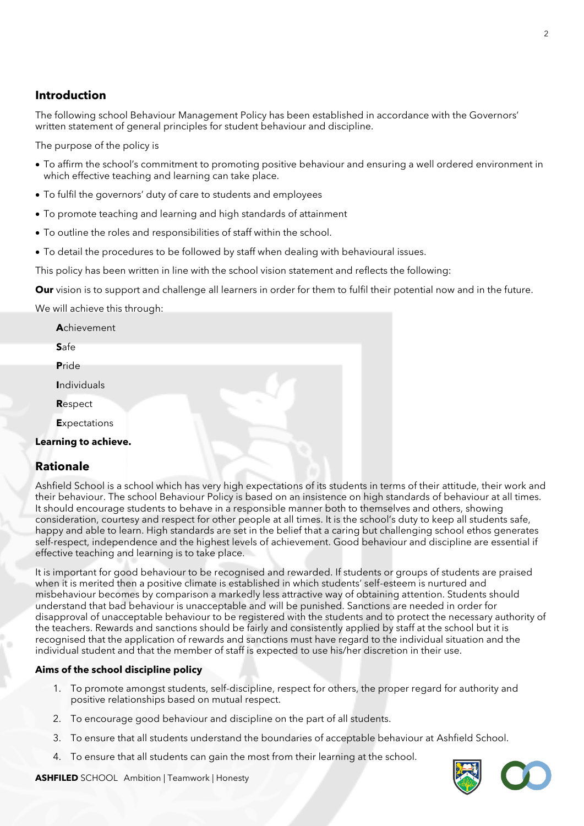### **Introduction**

The following school Behaviour Management Policy has been established in accordance with the Governors' written statement of general principles for student behaviour and discipline.

The purpose of the policy is

- To affirm the school's commitment to promoting positive behaviour and ensuring a well ordered environment in which effective teaching and learning can take place.
- To fulfil the governors' duty of care to students and employees
- To promote teaching and learning and high standards of attainment
- To outline the roles and responsibilities of staff within the school.
- To detail the procedures to be followed by staff when dealing with behavioural issues.

This policy has been written in line with the school vision statement and reflects the following:

**Our** vision is to support and challenge all learners in order for them to fulfil their potential now and in the future.

We will achieve this through:

| Achievement          |  |
|----------------------|--|
| Safe                 |  |
| Pride                |  |
| <b>Individuals</b>   |  |
| Respect              |  |
| <b>Expectations</b>  |  |
| Learning to achieve. |  |

### **Rationale**

Ashfield School is a school which has very high expectations of its students in terms of their attitude, their work and their behaviour. The school Behaviour Policy is based on an insistence on high standards of behaviour at all times. It should encourage students to behave in a responsible manner both to themselves and others, showing consideration, courtesy and respect for other people at all times. It is the school's duty to keep all students safe, happy and able to learn. High standards are set in the belief that a caring but challenging school ethos generates self-respect, independence and the highest levels of achievement. Good behaviour and discipline are essential if effective teaching and learning is to take place.

It is important for good behaviour to be recognised and rewarded. If students or groups of students are praised when it is merited then a positive climate is established in which students' self-esteem is nurtured and misbehaviour becomes by comparison a markedly less attractive way of obtaining attention. Students should understand that bad behaviour is unacceptable and will be punished. Sanctions are needed in order for disapproval of unacceptable behaviour to be registered with the students and to protect the necessary authority of the teachers. Rewards and sanctions should be fairly and consistently applied by staff at the school but it is recognised that the application of rewards and sanctions must have regard to the individual situation and the individual student and that the member of staff is expected to use his/her discretion in their use.

#### **Aims of the school discipline policy**

- 1. To promote amongst students, self-discipline, respect for others, the proper regard for authority and positive relationships based on mutual respect.
- 2. To encourage good behaviour and discipline on the part of all students.
- 3. To ensure that all students understand the boundaries of acceptable behaviour at Ashfield School.
- 4. To ensure that all students can gain the most from their learning at the school.



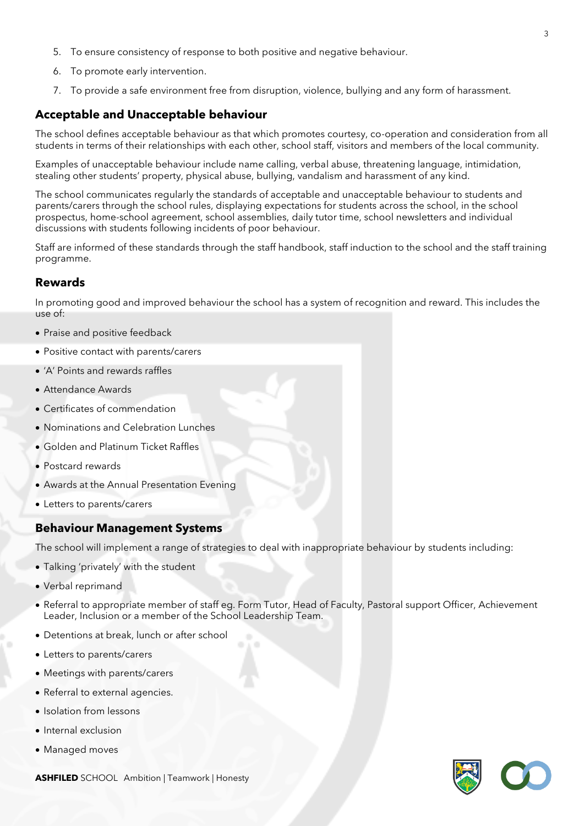- 5. To ensure consistency of response to both positive and negative behaviour.
- 6. To promote early intervention.
- 7. To provide a safe environment free from disruption, violence, bullying and any form of harassment.

### **Acceptable and Unacceptable behaviour**

The school defines acceptable behaviour as that which promotes courtesy, co-operation and consideration from all students in terms of their relationships with each other, school staff, visitors and members of the local community.

Examples of unacceptable behaviour include name calling, verbal abuse, threatening language, intimidation, stealing other students' property, physical abuse, bullying, vandalism and harassment of any kind.

The school communicates regularly the standards of acceptable and unacceptable behaviour to students and parents/carers through the school rules, displaying expectations for students across the school, in the school prospectus, home-school agreement, school assemblies, daily tutor time, school newsletters and individual discussions with students following incidents of poor behaviour.

Staff are informed of these standards through the staff handbook, staff induction to the school and the staff training programme.

### **Rewards**

In promoting good and improved behaviour the school has a system of recognition and reward. This includes the use of:

- Praise and positive feedback
- Positive contact with parents/carers
- 'A' Points and rewards raffles
- Attendance Awards
- Certificates of commendation
- Nominations and Celebration Lunches
- Golden and Platinum Ticket Raffles
- Postcard rewards
- Awards at the Annual Presentation Evening
- Letters to parents/carers

### **Behaviour Management Systems**

The school will implement a range of strategies to deal with inappropriate behaviour by students including:

- Talking 'privately' with the student
- Verbal reprimand
- Referral to appropriate member of staff eg. Form Tutor, Head of Faculty, Pastoral support Officer, Achievement Leader, Inclusion or a member of the School Leadership Team.
- Detentions at break, lunch or after school
- Letters to parents/carers
- Meetings with parents/carers
- Referral to external agencies.
- Isolation from lessons
- Internal exclusion
- Managed moves



**ASHFILED** SCHOOL Ambition | Teamwork | Honesty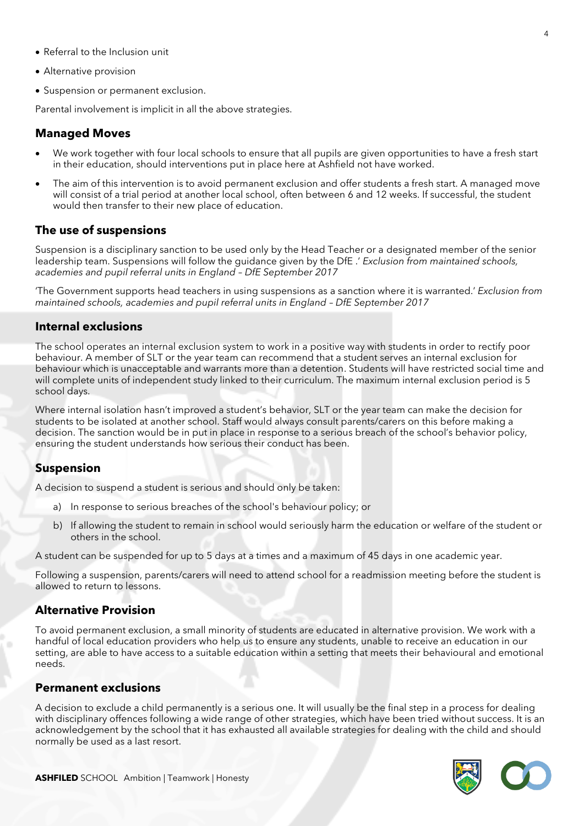- Referral to the Inclusion unit
- Alternative provision
- Suspension or permanent exclusion.

Parental involvement is implicit in all the above strategies.

### **Managed Moves**

- We work together with four local schools to ensure that all pupils are given opportunities to have a fresh start in their education, should interventions put in place here at Ashfield not have worked.
- The aim of this intervention is to avoid permanent exclusion and offer students a fresh start. A managed move will consist of a trial period at another local school, often between 6 and 12 weeks. If successful, the student would then transfer to their new place of education.

#### **The use of suspensions**

Suspension is a disciplinary sanction to be used only by the Head Teacher or a designated member of the senior leadership team. Suspensions will follow the guidance given by the DfE .' *Exclusion from maintained schools, academies and pupil referral units in England – DfE September 2017*

'The Government supports head teachers in using suspensions as a sanction where it is warranted.' *Exclusion from maintained schools, academies and pupil referral units in England – DfE September 2017*

#### **Internal exclusions**

The school operates an internal exclusion system to work in a positive way with students in order to rectify poor behaviour. A member of SLT or the year team can recommend that a student serves an internal exclusion for behaviour which is unacceptable and warrants more than a detention. Students will have restricted social time and will complete units of independent study linked to their curriculum. The maximum internal exclusion period is 5 school days.

Where internal isolation hasn't improved a student's behavior, SLT or the year team can make the decision for students to be isolated at another school. Staff would always consult parents/carers on this before making a decision. The sanction would be in put in place in response to a serious breach of the school's behavior policy, ensuring the student understands how serious their conduct has been.

### **Suspension**

A decision to suspend a student is serious and should only be taken:

- a) In response to serious breaches of the school's behaviour policy; or
- b) If allowing the student to remain in school would seriously harm the education or welfare of the student or others in the school.

A student can be suspended for up to 5 days at a times and a maximum of 45 days in one academic year.

Following a suspension, parents/carers will need to attend school for a readmission meeting before the student is allowed to return to lessons.

#### **Alternative Provision**

To avoid permanent exclusion, a small minority of students are educated in alternative provision. We work with a handful of local education providers who help us to ensure any students, unable to receive an education in our setting, are able to have access to a suitable education within a setting that meets their behavioural and emotional needs.

#### **Permanent exclusions**

A decision to exclude a child permanently is a serious one. It will usually be the final step in a process for dealing with disciplinary offences following a wide range of other strategies, which have been tried without success. It is an acknowledgement by the school that it has exhausted all available strategies for dealing with the child and should normally be used as a last resort.

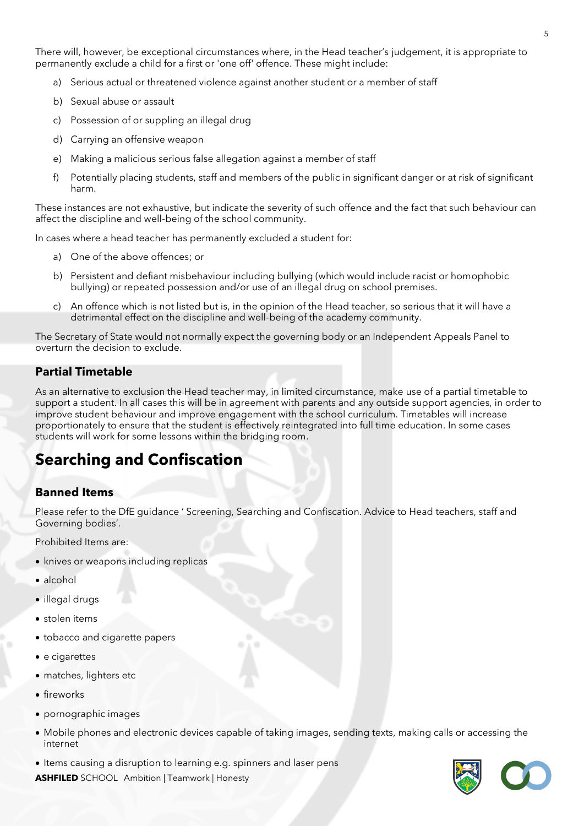There will, however, be exceptional circumstances where, in the Head teacher's judgement, it is appropriate to permanently exclude a child for a first or 'one off' offence. These might include:

- a) Serious actual or threatened violence against another student or a member of staff
- b) Sexual abuse or assault
- c) Possession of or suppling an illegal drug
- d) Carrying an offensive weapon
- e) Making a malicious serious false allegation against a member of staff
- f) Potentially placing students, staff and members of the public in significant danger or at risk of significant harm.

These instances are not exhaustive, but indicate the severity of such offence and the fact that such behaviour can affect the discipline and well-being of the school community.

In cases where a head teacher has permanently excluded a student for:

- a) One of the above offences; or
- b) Persistent and defiant misbehaviour including bullying (which would include racist or homophobic bullying) or repeated possession and/or use of an illegal drug on school premises.
- c) An offence which is not listed but is, in the opinion of the Head teacher, so serious that it will have a detrimental effect on the discipline and well-being of the academy community.

The Secretary of State would not normally expect the governing body or an Independent Appeals Panel to overturn the decision to exclude.

### **Partial Timetable**

As an alternative to exclusion the Head teacher may, in limited circumstance, make use of a partial timetable to support a student. In all cases this will be in agreement with parents and any outside support agencies, in order to improve student behaviour and improve engagement with the school curriculum. Timetables will increase proportionately to ensure that the student is effectively reintegrated into full time education. In some cases students will work for some lessons within the bridging room.

### **Searching and Confiscation**

### **Banned Items**

Please refer to the DfE guidance ' Screening, Searching and Confiscation. Advice to Head teachers, staff and Governing bodies'.

Prohibited Items are:

- knives or weapons including replicas
- alcohol
- illegal drugs
- stolen items
- tobacco and cigarette papers
- e cigarettes
- matches, lighters etc
- fireworks
- pornographic images
- Mobile phones and electronic devices capable of taking images, sending texts, making calls or accessing the internet
- Items causing a disruption to learning e.g. spinners and laser pens

**ASHFILED** SCHOOL Ambition | Teamwork | Honesty

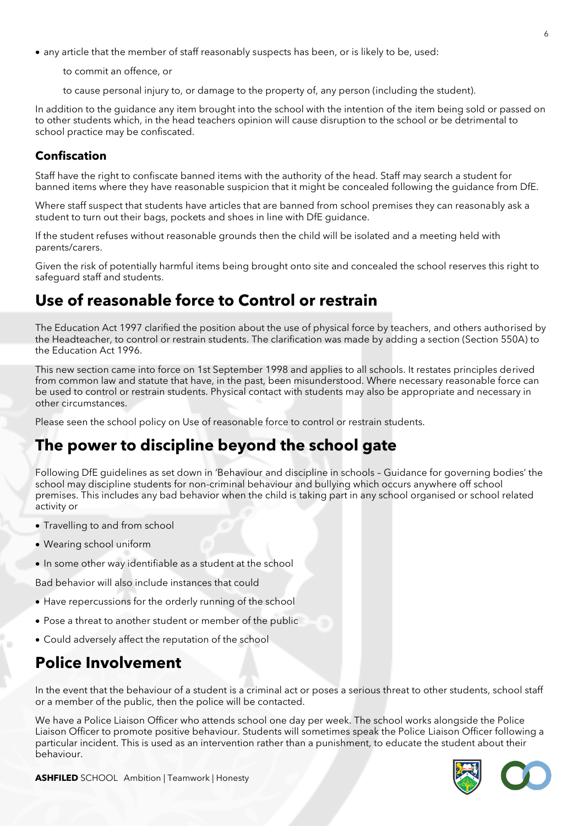- any article that the member of staff reasonably suspects has been, or is likely to be, used:
	- to commit an offence, or
	- to cause personal injury to, or damage to the property of, any person (including the student).

In addition to the guidance any item brought into the school with the intention of the item being sold or passed on to other students which, in the head teachers opinion will cause disruption to the school or be detrimental to school practice may be confiscated.

### **Confiscation**

Staff have the right to confiscate banned items with the authority of the head. Staff may search a student for banned items where they have reasonable suspicion that it might be concealed following the guidance from DfE.

Where staff suspect that students have articles that are banned from school premises they can reasonably ask a student to turn out their bags, pockets and shoes in line with DfE guidance.

If the student refuses without reasonable grounds then the child will be isolated and a meeting held with parents/carers.

Given the risk of potentially harmful items being brought onto site and concealed the school reserves this right to safeguard staff and students.

### **Use of reasonable force to Control or restrain**

The Education Act 1997 clarified the position about the use of physical force by teachers, and others authorised by the Headteacher, to control or restrain students. The clarification was made by adding a section (Section 550A) to the Education Act 1996.

This new section came into force on 1st September 1998 and applies to all schools. It restates principles derived from common law and statute that have, in the past, been misunderstood. Where necessary reasonable force can be used to control or restrain students. Physical contact with students may also be appropriate and necessary in other circumstances.

Please seen the school policy on Use of reasonable force to control or restrain students.

### **The power to discipline beyond the school gate**

Following DfE guidelines as set down in 'Behaviour and discipline in schools – Guidance for governing bodies' the school may discipline students for non-criminal behaviour and bullying which occurs anywhere off school premises. This includes any bad behavior when the child is taking part in any school organised or school related activity or

- Travelling to and from school
- Wearing school uniform
- In some other way identifiable as a student at the school

Bad behavior will also include instances that could

- Have repercussions for the orderly running of the school
- Pose a threat to another student or member of the public
- Could adversely affect the reputation of the school

### **Police Involvement**

In the event that the behaviour of a student is a criminal act or poses a serious threat to other students, school staff or a member of the public, then the police will be contacted.

We have a Police Liaison Officer who attends school one day per week. The school works alongside the Police Liaison Officer to promote positive behaviour. Students will sometimes speak the Police Liaison Officer following a particular incident. This is used as an intervention rather than a punishment, to educate the student about their behaviour.



**ASHFILED** SCHOOL Ambition | Teamwork | Honesty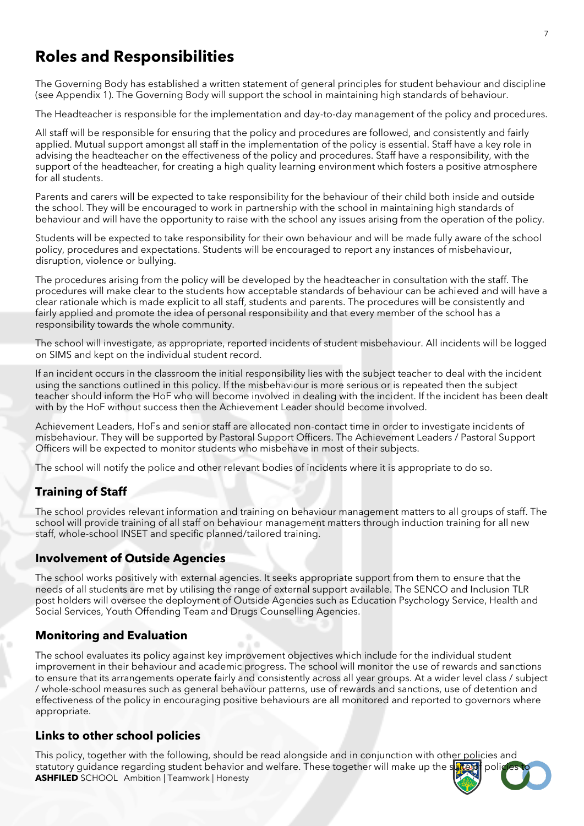### **Roles and Responsibilities**

The Governing Body has established a written statement of general principles for student behaviour and discipline (see Appendix 1). The Governing Body will support the school in maintaining high standards of behaviour.

The Headteacher is responsible for the implementation and day-to-day management of the policy and procedures.

All staff will be responsible for ensuring that the policy and procedures are followed, and consistently and fairly applied. Mutual support amongst all staff in the implementation of the policy is essential. Staff have a key role in advising the headteacher on the effectiveness of the policy and procedures. Staff have a responsibility, with the support of the headteacher, for creating a high quality learning environment which fosters a positive atmosphere for all students.

Parents and carers will be expected to take responsibility for the behaviour of their child both inside and outside the school. They will be encouraged to work in partnership with the school in maintaining high standards of behaviour and will have the opportunity to raise with the school any issues arising from the operation of the policy.

Students will be expected to take responsibility for their own behaviour and will be made fully aware of the school policy, procedures and expectations. Students will be encouraged to report any instances of misbehaviour, disruption, violence or bullying.

The procedures arising from the policy will be developed by the headteacher in consultation with the staff. The procedures will make clear to the students how acceptable standards of behaviour can be achieved and will have a clear rationale which is made explicit to all staff, students and parents. The procedures will be consistently and fairly applied and promote the idea of personal responsibility and that every member of the school has a responsibility towards the whole community.

The school will investigate, as appropriate, reported incidents of student misbehaviour. All incidents will be logged on SIMS and kept on the individual student record.

If an incident occurs in the classroom the initial responsibility lies with the subject teacher to deal with the incident using the sanctions outlined in this policy. If the misbehaviour is more serious or is repeated then the subject teacher should inform the HoF who will become involved in dealing with the incident. If the incident has been dealt with by the HoF without success then the Achievement Leader should become involved.

Achievement Leaders, HoFs and senior staff are allocated non-contact time in order to investigate incidents of misbehaviour. They will be supported by Pastoral Support Officers. The Achievement Leaders / Pastoral Support Officers will be expected to monitor students who misbehave in most of their subjects.

The school will notify the police and other relevant bodies of incidents where it is appropriate to do so.

### **Training of Staff**

The school provides relevant information and training on behaviour management matters to all groups of staff. The school will provide training of all staff on behaviour management matters through induction training for all new staff, whole-school INSET and specific planned/tailored training.

### **Involvement of Outside Agencies**

The school works positively with external agencies. It seeks appropriate support from them to ensure that the needs of all students are met by utilising the range of external support available. The SENCO and Inclusion TLR post holders will oversee the deployment of Outside Agencies such as Education Psychology Service, Health and Social Services, Youth Offending Team and Drugs Counselling Agencies.

### **Monitoring and Evaluation**

The school evaluates its policy against key improvement objectives which include for the individual student improvement in their behaviour and academic progress. The school will monitor the use of rewards and sanctions to ensure that its arrangements operate fairly and consistently across all year groups. At a wider level class / subject / whole-school measures such as general behaviour patterns, use of rewards and sanctions, use of detention and effectiveness of the policy in encouraging positive behaviours are all monitored and reported to governors where appropriate.

### **Links to other school policies**

**ASHFILED** SCHOOL Ambition | Teamwork | Honesty This policy, together with the following, should be read alongside and in conjunction with other policies and statutory guidance regarding student behavior and welfare. These together will make up the suite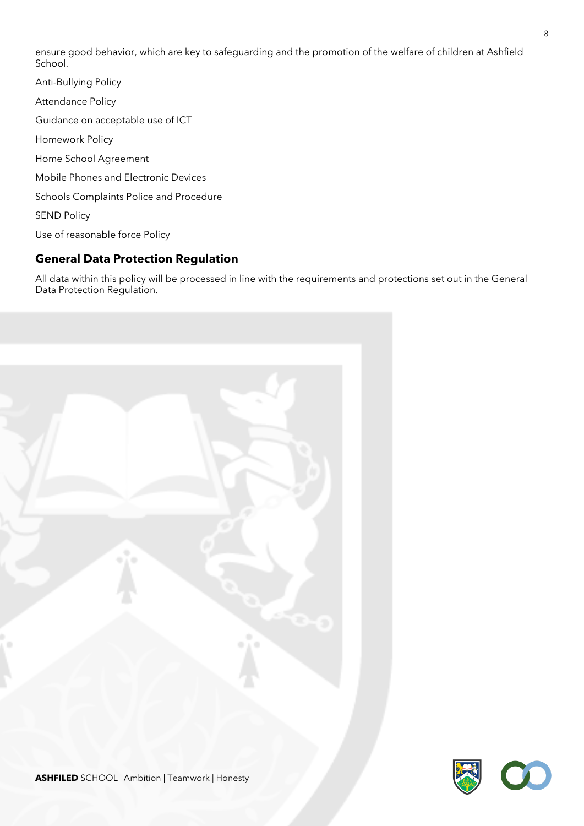ensure good behavior, which are key to safeguarding and the promotion of the welfare of children at Ashfield School.

Anti-Bullying Policy Attendance Policy Guidance on acceptable use of ICT Homework Policy Home School Agreement Mobile Phones and Electronic Devices Schools Complaints Police and Procedure SEND Policy Use of reasonable force Policy

### **General Data Protection Regulation**

All data within this policy will be processed in line with the requirements and protections set out in the General Data Protection Regulation.



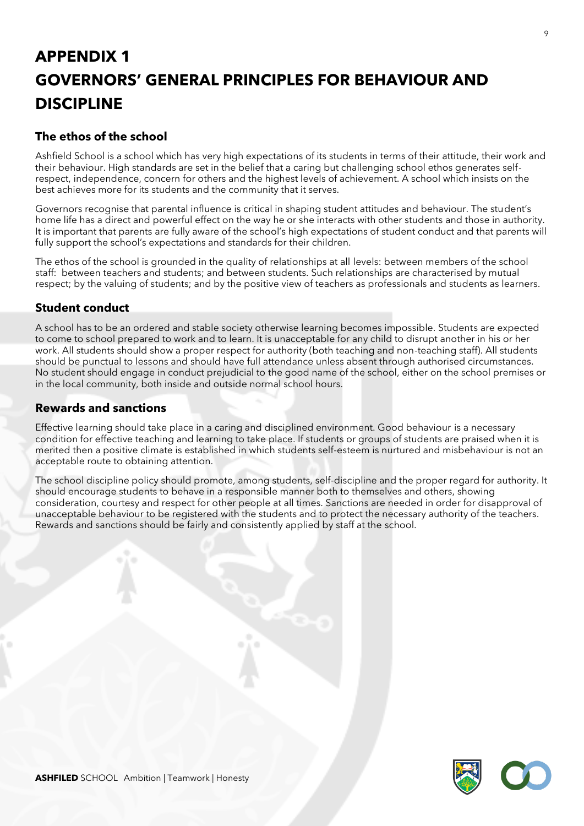# **APPENDIX 1 GOVERNORS' GENERAL PRINCIPLES FOR BEHAVIOUR AND DISCIPLINE**

### **The ethos of the school**

Ashfield School is a school which has very high expectations of its students in terms of their attitude, their work and their behaviour. High standards are set in the belief that a caring but challenging school ethos generates selfrespect, independence, concern for others and the highest levels of achievement. A school which insists on the best achieves more for its students and the community that it serves.

Governors recognise that parental influence is critical in shaping student attitudes and behaviour. The student's home life has a direct and powerful effect on the way he or she interacts with other students and those in authority. It is important that parents are fully aware of the school's high expectations of student conduct and that parents will fully support the school's expectations and standards for their children.

The ethos of the school is grounded in the quality of relationships at all levels: between members of the school staff: between teachers and students; and between students. Such relationships are characterised by mutual respect; by the valuing of students; and by the positive view of teachers as professionals and students as learners.

### **Student conduct**

A school has to be an ordered and stable society otherwise learning becomes impossible. Students are expected to come to school prepared to work and to learn. It is unacceptable for any child to disrupt another in his or her work. All students should show a proper respect for authority (both teaching and non-teaching staff). All students should be punctual to lessons and should have full attendance unless absent through authorised circumstances. No student should engage in conduct prejudicial to the good name of the school, either on the school premises or in the local community, both inside and outside normal school hours.

### **Rewards and sanctions**

Effective learning should take place in a caring and disciplined environment. Good behaviour is a necessary condition for effective teaching and learning to take place. If students or groups of students are praised when it is merited then a positive climate is established in which students self-esteem is nurtured and misbehaviour is not an acceptable route to obtaining attention.

The school discipline policy should promote, among students, self-discipline and the proper regard for authority. It should encourage students to behave in a responsible manner both to themselves and others, showing consideration, courtesy and respect for other people at all times. Sanctions are needed in order for disapproval of unacceptable behaviour to be registered with the students and to protect the necessary authority of the teachers. Rewards and sanctions should be fairly and consistently applied by staff at the school.

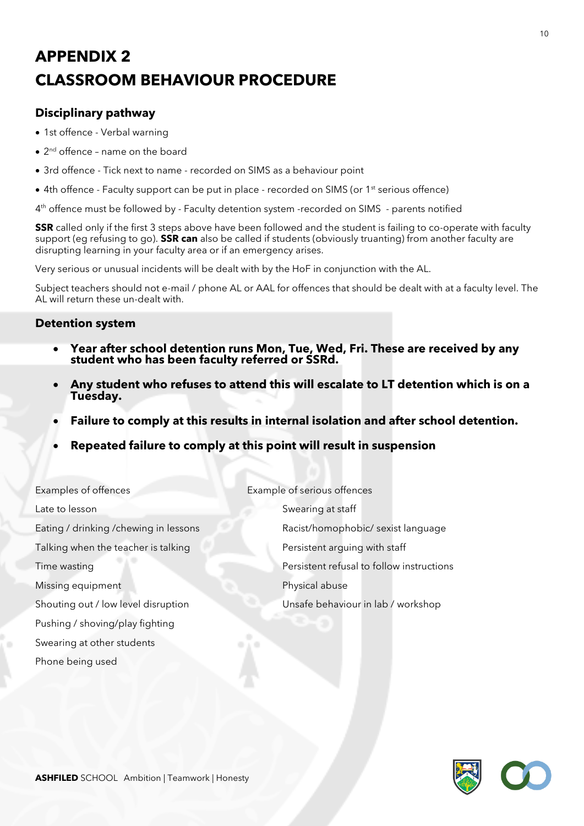# **APPENDIX 2 CLASSROOM BEHAVIOUR PROCEDURE**

### **Disciplinary pathway**

- 1st offence Verbal warning
- 2<sup>nd</sup> offence name on the board
- 3rd offence Tick next to name recorded on SIMS as a behaviour point
- 4th offence Faculty support can be put in place recorded on SIMS (or 1<sup>st</sup> serious offence)

4 th offence must be followed by - Faculty detention system -recorded on SIMS - parents notified

**SSR** called only if the first 3 steps above have been followed and the student is failing to co-operate with faculty support (eg refusing to go). **SSR can** also be called if students (obviously truanting) from another faculty are disrupting learning in your faculty area or if an emergency arises.

Very serious or unusual incidents will be dealt with by the HoF in conjunction with the AL.

Subject teachers should not e-mail / phone AL or AAL for offences that should be dealt with at a faculty level. The AL will return these un-dealt with.

### **Detention system**

- **Year after school detention runs Mon, Tue, Wed, Fri. These are received by any student who has been faculty referred or SSRd.**
- **Any student who refuses to attend this will escalate to LT detention which is on a Tuesday.**
- **Failure to comply at this results in internal isolation and after school detention.**
- **Repeated failure to comply at this point will result in suspension**

| Examples of offences                   | Example of serious offences               |
|----------------------------------------|-------------------------------------------|
| Late to lesson                         | Swearing at staff                         |
| Eating / drinking / chewing in lessons | Racist/homophobic/ sexist language        |
| Talking when the teacher is talking    | Persistent arguing with staff             |
| Time wasting                           | Persistent refusal to follow instructions |
| Missing equipment                      | Physical abuse                            |
| Shouting out / low level disruption    | Unsafe behaviour in lab / workshop        |
| Pushing / shoving/play fighting        |                                           |
| Swearing at other students             |                                           |

Phone being used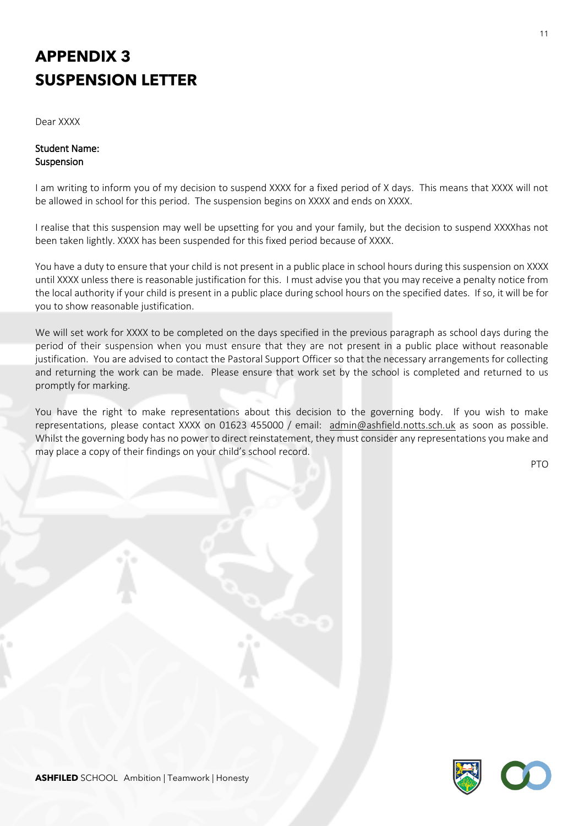# **APPENDIX 3 SUSPENSION LETTER**

Dear XXXX

### Student Name: Suspension

I am writing to inform you of my decision to suspend XXXX for a fixed period of X days. This means that XXXX will not be allowed in school for this period. The suspension begins on XXXX and ends on XXXX.

I realise that this suspension may well be upsetting for you and your family, but the decision to suspend XXXXhas not been taken lightly. XXXX has been suspended for this fixed period because of XXXX.

You have a duty to ensure that your child is not present in a public place in school hours during this suspension on XXXX until XXXX unless there is reasonable justification for this. I must advise you that you may receive a penalty notice from the local authority if your child is present in a public place during school hours on the specified dates. If so, it will be for you to show reasonable justification.

We will set work for XXXX to be completed on the days specified in the previous paragraph as school days during the period of their suspension when you must ensure that they are not present in a public place without reasonable justification. You are advised to contact the Pastoral Support Officer so that the necessary arrangements for collecting and returning the work can be made. Please ensure that work set by the school is completed and returned to us promptly for marking.

You have the right to make representations about this decision to the governing body. If you wish to make representations, please contact XXXX on 01623 455000 / email: [admin@ashfield.notts.sch.uk](mailto:admin@ashfield.notts.sch.uk) as soon as possible. Whilst the governing body has no power to direct reinstatement, they must consider any representations you make and may place a copy of their findings on your child's school record.

PTO